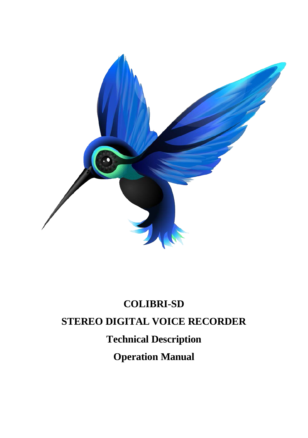

# **COLIBRI-SD STEREO DIGITAL VOICE RECORDER Technical Description Operation Manual**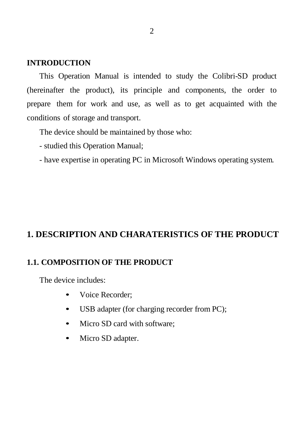#### **INTRODUCTION**

This Operation Manual is intended to study the Colibri-SD product (hereinafter the product), its principle and components, the order to prepare them for work and use, as well as to get acquainted with the conditions of storage and transport.

The device should be maintained by those who:

- studied this Operation Manual;
- have expertise in operating PC in Microsoft Windows operating system.

# **1. DESCRIPTION AND CHARATERISTICS OF THE PRODUCT**

## **1.1. COMPOSITION OF THE PRODUCT**

The device includes:

- Voice Recorder:
- USB adapter (for charging recorder from PC);
- Micro SD card with software:
- Micro SD adapter.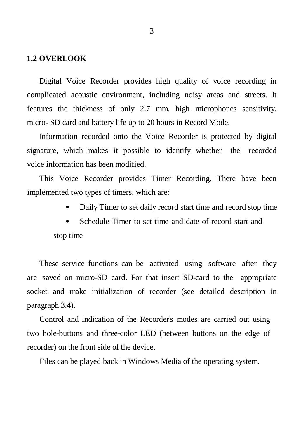#### **1.2 OVERLOOK**

Digital Voice Recorder provides high quality of voice recording in complicated acoustic environment, including noisy areas and streets. It features the thickness of only 2.7 mm, high microphones sensitivity, micro- SD card and battery life up to 20 hours in Record Mode.

Information recorded onto the Voice Recorder is protected by digital signature, which makes it possible to identify whether the recorded voice information has been modified.

This Voice Recorder provides Timer Recording. There have been implemented two types of timers, which are:

- Daily Timer to set daily record start time and record stop time
- Schedule Timer to set time and date of record start and stop time

These service functions can be activated using software after they are saved on micro-SD card. For that insert SD-card to the appropriate socket and make initialization of recorder (see detailed description in paragraph 3.4).

Control and indication of the Recorder's modes are carried out using two hole-buttons and three-color LED (between buttons on the edge of recorder) on the front side of the device.

Files can be played back in Windows Media of the operating system.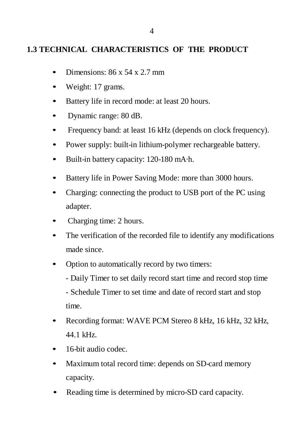# **1.3 TECHNICAL CHARACTERISTICS OF THE PRODUCT**

- Dimensions:  $86 \times 54 \times 2.7$  mm
- Weight: 17 grams.
- Battery life in record mode: at least 20 hours.
- Dynamic range: 80 dB.
- Frequency band: at least 16 kHz (depends on clock frequency).
- Power supply: built-in lithium-polymer rechargeable battery.
- Built-in battery capacity: 120-180 mA·h.
- Battery life in Power Saving Mode: more than 3000 hours.
- Charging: connecting the product to USB port of the PC using adapter.
- Charging time: 2 hours.
- The verification of the recorded file to identify any modifications made since.
- Option to automatically record by two timers:
	- Daily Timer to set daily record start time and record stop time

- Schedule Timer to set time and date of record start and stop time.

- Recording format: WAVE PCM Stereo 8 kHz, 16 kHz, 32 kHz, 44.1 kHz.
- 16-bit audio codec.
- Maximum total record time: depends on SD-card memory capacity.
- Reading time is determined by micro-SD card capacity.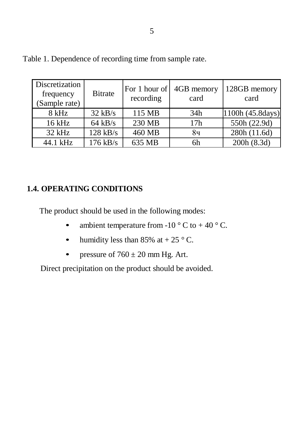| Discretization<br>frequency<br>(Sample rate) | <b>B</b> itrate | For 1 hour of<br>recording | 4GB memory<br>card | 128GB memory<br>card |
|----------------------------------------------|-----------------|----------------------------|--------------------|----------------------|
| 8 kHz                                        | $32$ kB/s       | 115 MB                     | 34h                | 1100h (45.8days)     |
| 16 kHz                                       | $64$ kB/s       | 230 MB                     | 17h                | 550h (22.9d)         |
| $32$ kHz                                     | $128$ kB/s      | 460 MB                     | 8ч                 | 280h (11.6d)         |
| 44.1 kHz                                     | $176$ kB/s      | 635 MB                     | 6h                 | 200h (8.3d)          |

Table 1. Dependence of recording time from sample rate.

# **1.4. OPERATING CONDITIONS**

The product should be used in the following modes:

- ambient temperature from -10  $\degree$  C to +40  $\degree$  C.
- humidity less than 85% at  $+ 25$  ° C.
- pressure of  $760 \pm 20$  mm Hg. Art.

Direct precipitation on the product should be avoided.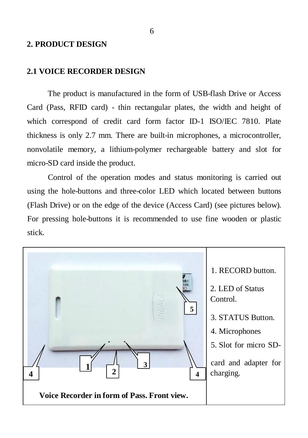#### **2. PRODUCT DESIGN**

#### **2.1 VOICE RECORDER DESIGN**

The product is manufactured in the form of USB-flash Drive or Access Card (Pass, RFID card) - thin rectangular plates, the width and height of which correspond of credit card form factor ID-1 ISO/IEC 7810. Plate thickness is only 2.7 mm. There are built-in microphones, a microcontroller, nonvolatile memory, a lithium-polymer rechargeable battery and slot for micro-SD card inside the product.

Control of the operation modes and status monitoring is carried out using the hole-buttons and three-color LED which located between buttons (Flash Drive) or on the edge of the device (Access Card) (see pictures below). For pressing hole-buttons it is recommended to use fine wooden or plastic stick.

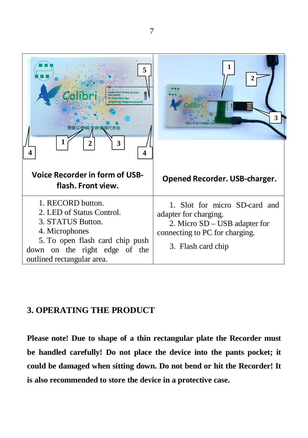

# **3. OPERATING THE PRODUCT**

**Please note! Due to shape of a thin rectangular plate the Recorder must be handled carefully! Do not place the device into the pants pocket; it could be damaged when sitting down. Do not bend or hit the Recorder! It is also recommended to store the device in a protective case.**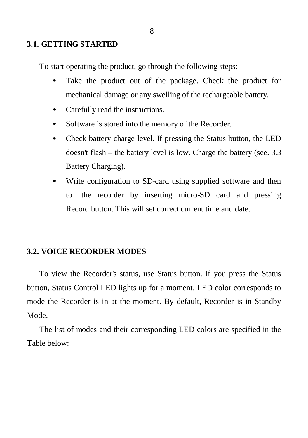#### **3.1. GETTING STARTED**

To start operating the product, go through the following steps:

- Take the product out of the package. Check the product for mechanical damage or any swelling of the rechargeable battery.
- Carefully read the instructions.
- Software is stored into the memory of the Recorder.
- Check battery charge level. If pressing the Status button, the LED doesn't flash – the battery level is low. Charge the battery (see. 3.3 Battery Charging).
- Write configuration to SD-card using supplied software and then to the recorder by inserting micro-SD card and pressing Record button. This will set correct current time and date.

#### **3.2. VOICE RECORDER MODES**

To view the Recorder's status, use Status button. If you press the Status button, Status Control LED lights up for a moment. LED color corresponds to mode the Recorder is in at the moment. By default, Recorder is in Standby Mode.

The list of modes and their corresponding LED colors are specified in the Table below: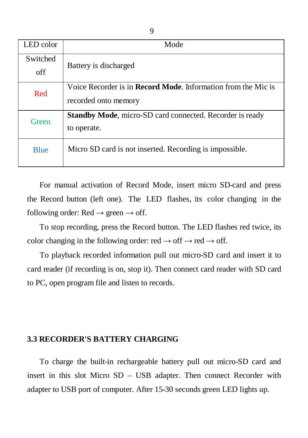| LED color       | Mode                                                                                          |  |  |
|-----------------|-----------------------------------------------------------------------------------------------|--|--|
| Switched<br>off | Battery is discharged                                                                         |  |  |
| Red             | Voice Recorder is in <b>Record Mode</b> . Information from the Mic is<br>recorded onto memory |  |  |
| Green           | <b>Standby Mode, micro-SD card connected. Recorder is ready</b><br>to operate.                |  |  |
| <b>Blue</b>     | Micro SD card is not inserted. Recording is impossible.                                       |  |  |

For manual activation of Record Mode, insert micro SD-card and press the Record button (left one). The LED flashes, its color changing in the following order:  $Red \rightarrow green \rightarrow off$ .

To stop recording, press the Record button. The LED flashes red twice, its color changing in the following order: red  $\rightarrow$  off  $\rightarrow$  red  $\rightarrow$  off.

To playback recorded information pull out micro-SD card and insert it to card reader (if recording is on, stop it). Then connect card reader with SD card to PC, open program file and listen to records.

#### **3.3 RECORDER'S BATTERY CHARGING**

To charge the built-in rechargeable battery pull out micro-SD card and insert in this slot Micro SD – USB adapter. Then connect Recorder with adapter to USB port of computer. After 15-30 seconds green LED lights up.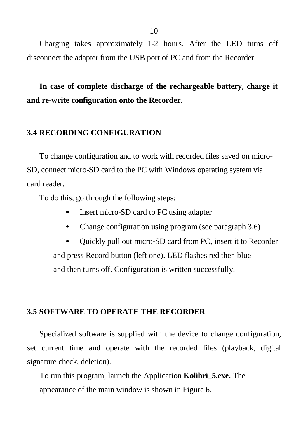Charging takes approximately 1-2 hours. After the LED turns off disconnect the adapter from the USB port of PC and from the Recorder.

**In case of complete discharge of the rechargeable battery, charge it and re-write configuration onto the Recorder.**

# **3.4 RECORDING CONFIGURATION**

To change configuration and to work with recorded files saved on micro-SD, connect micro-SD card to the PC with Windows operating system via card reader.

To do this, go through the following steps:

- Insert micro-SD card to PC using adapter
- Change configuration using program (see paragraph 3.6)
- Quickly pull out micro-SD card from PC, insert it to Recorder and press Record button (left one). LED flashes red then blue and then turns off. Configuration is written successfully.

### **3.5 SOFTWARE TO OPERATE THE RECORDER**

Specialized software is supplied with the device to change configuration, set current time and operate with the recorded files (playback, digital signature check, deletion).

To run this program, launch the Application **Kolibri\_5.exe.** The appearance of the main window is shown in Figure 6.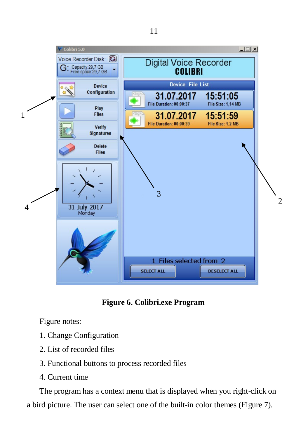



Figure notes:

- 1. Change Configuration
- 2. List of recorded files
- 3. Functional buttons to process recorded files
- 4. Current time

The program has a context menu that is displayed when you right-click on a bird picture. The user can select one of the built-in color themes (Figure 7).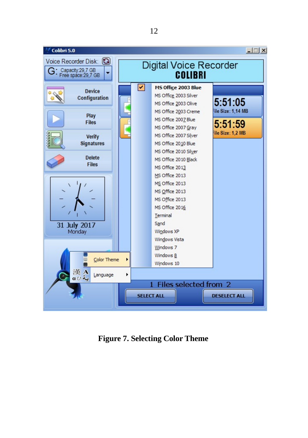

**Figure 7. Selecting Color Theme**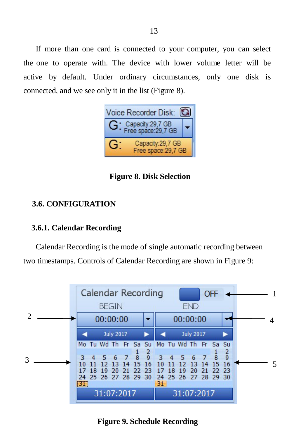If more than one card is connected to your computer, you can select the one to operate with. The device with lower volume letter will be active by default. Under ordinary circumstances, only one disk is connected, and we see only it in the list (Figure 8).



**Figure 8. Disk Selection**

# **3.6. CONFIGURATION**

## **3.6.1. Calendar Recording**

Calendar Recording is the mode of single automatic recording between two timestamps. Controls of Calendar Recording are shown in Figure 9:



**Figure 9. Schedule Recording**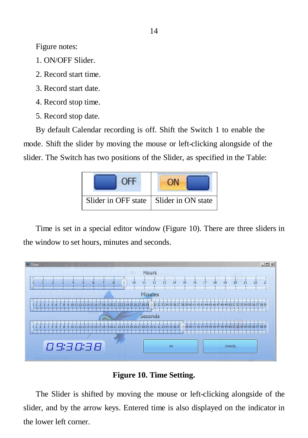Figure notes:

- 1. ON/OFF Slider.
- 2. Record start time.
- 3. Record start date.
- 4. Record stop time.
- 5. Record stop date.

By default Calendar recording is off. Shift the Switch 1 to enable the mode. Shift the slider by moving the mouse or left-clicking alongside of the slider. The Switch has two positions of the Slider, as specified in the Table:



Time is set in a special editor window (Figure 10). There are three sliders in the window to set hours, minutes and seconds.





The Slider is shifted by moving the mouse or left-clicking alongside of the slider, and by the arrow keys. Entered time is also displayed on the indicator in the lower left corner.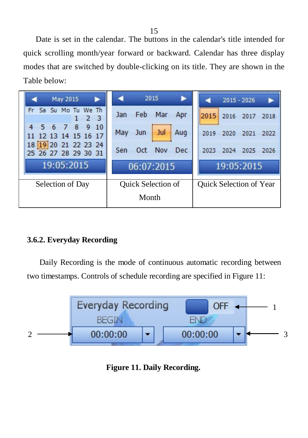Date is set in the calendar. The buttons in the calendar's title intended for quick scrolling month/year forward or backward. Calendar has three display modes that are switched by double-clicking on its title. They are shown in the Table below:



# **3.6.2. Everyday Recording**

Daily Recording is the mode of continuous automatic recording between two timestamps. Controls of schedule recording are specified in Figure 11:



**Figure 11. Daily Recording.**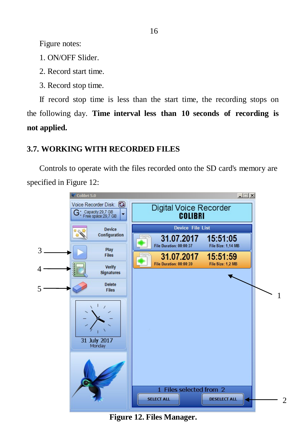Figure notes:

- 1. ON/OFF Slider.
- 2. Record start time.
- 3. Record stop time.

If record stop time is less than the start time, the recording stops on the following day. **Time interval less than 10 seconds of recording is not applied.**

# **3.7. WORKING WITH RECORDED FILES**

Controls to operate with the files recorded onto the SD card's memory are specified in Figure 12:



**Figure 12. Files Manager.**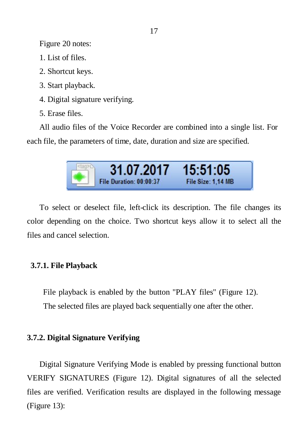Figure 20 notes:

- 1. List of files.
- 2. Shortcut keys.
- 3. Start playback.
- 4. Digital signature verifying.
- 5. Erase files.

All audio files of the Voice Recorder are combined into a single list. For each file, the parameters of time, date, duration and size are specified.

| 31.07.2017              | 15:51:05           |  |
|-------------------------|--------------------|--|
| File Duration: 00:00:37 | File Size: 1.14 MB |  |

To select or deselect file, left-click its description. The file changes its color depending on the choice. Two shortcut keys allow it to select all the files and cancel selection.

# **3.7.1. File Playback**

File playback is enabled by the button "PLAY files" (Figure 12). The selected files are played back sequentially one after the other.

# **3.7.2. Digital Signature Verifying**

Digital Signature Verifying Mode is enabled by pressing functional button VERIFY SIGNATURES (Figure 12). Digital signatures of all the selected files are verified. Verification results are displayed in the following message (Figure 13):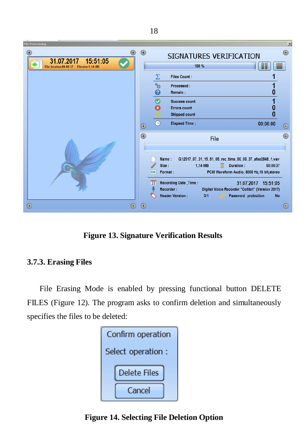

**Figure 13. Signature Verification Results**

# **3.7.3. Erasing Files**

File Erasing Mode is enabled by pressing functional button DELETE FILES (Figure 12). The program asks to confirm deletion and simultaneously specifies the files to be deleted:



**Figure 14. Selecting File Deletion Option**

18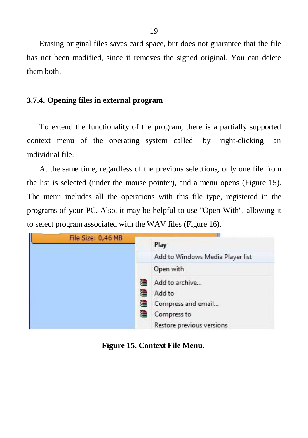Erasing original files saves card space, but does not guarantee that the file has not been modified, since it removes the signed original. You can delete them both.

## **3.7.4. Opening files in external program**

To extend the functionality of the program, there is a partially supported context menu of the operating system called by right-clicking an individual file.

At the same time, regardless of the previous selections, only one file from the list is selected (under the mouse pointer), and a menu opens (Figure 15). The menu includes all the operations with this file type, registered in the programs of your PC. Also, it may be helpful to use "Open With", allowing it to select program associated with the WAV files (Figure 16).

| File Size: 0,46 MB |  | Ш                                |  |
|--------------------|--|----------------------------------|--|
|                    |  | Play                             |  |
|                    |  | Add to Windows Media Player list |  |
|                    |  | Open with                        |  |
|                    |  | Add to archive                   |  |
|                    |  | Add to                           |  |
|                    |  | Compress and email               |  |
|                    |  | Compress to                      |  |
|                    |  | Restore previous versions        |  |

**Figure 15. Context File Menu**.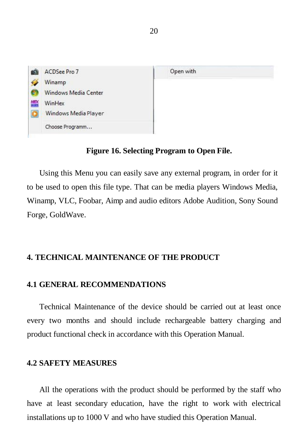

### **Figure 16. Selecting Program to Open File.**

Using this Menu you can easily save any external program, in order for it to be used to open this file type. That can be media players Windows Media, Winamp, VLC, Foobar, Aimp and audio editors Adobe Audition, Sony Sound Forge, GoldWave.

## **4. TECHNICAL MAINTENANCE OF THE PRODUCT**

#### **4.1 GENERAL RECOMMENDATIONS**

Technical Maintenance of the device should be carried out at least once every two months and should include rechargeable battery charging and product functional check in accordance with this Operation Manual.

#### **4.2 SAFETY MEASURES**

All the operations with the product should be performed by the staff who have at least secondary education, have the right to work with electrical installations up to 1000 V and who have studied this Operation Manual.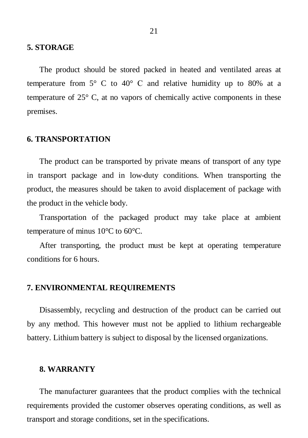#### **5. STORAGE**

The product should be stored packed in heated and ventilated areas at temperature from  $5^{\circ}$  C to  $40^{\circ}$  C and relative humidity up to 80% at a temperature of 25° C, at no vapors of chemically active components in these premises.

#### **6. TRANSPORTATION**

The product can be transported by private means of transport of any type in transport package and in low-duty conditions. When transporting the product, the measures should be taken to avoid displacement of package with the product in the vehicle body.

Transportation of the packaged product may take place at ambient temperature of minus 10°C to 60°C.

After transporting, the product must be kept at operating temperature conditions for 6 hours.

#### **7. ENVIRONMENTAL REQUIREMENTS**

Disassembly, recycling and destruction of the product can be carried out by any method. This however must not be applied to lithium rechargeable battery. Lithium battery is subject to disposal by the licensed organizations.

#### **8. WARRANTY**

The manufacturer guarantees that the product complies with the technical requirements provided the customer observes operating conditions, as well as transport and storage conditions, set in the specifications.